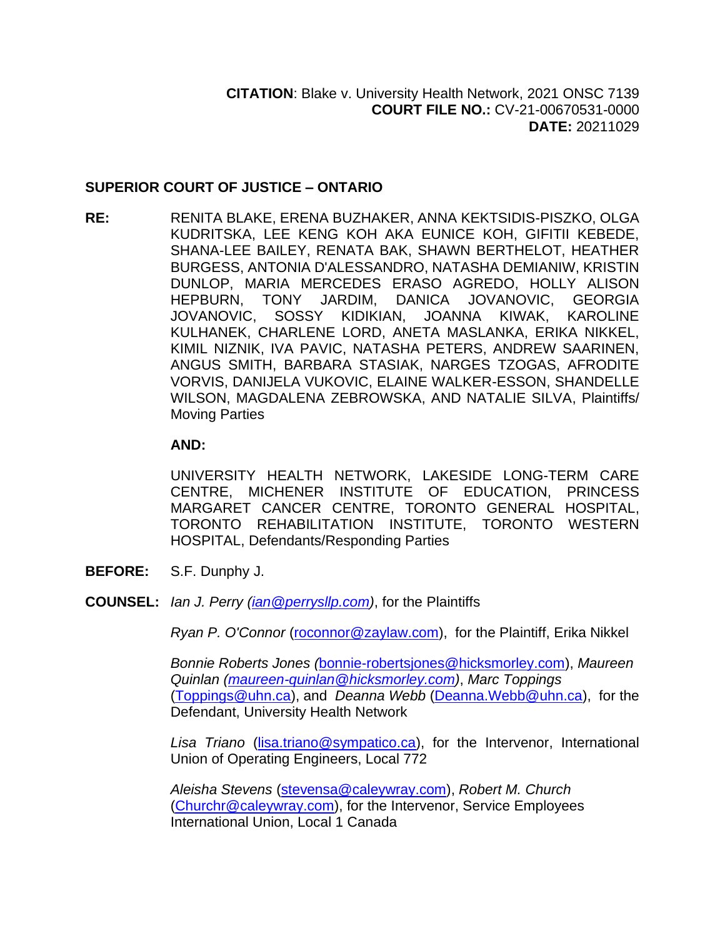**[CITATION](http://intra.judicialsecurity.jus.gov.on.ca/NeutralCitation/)**: Blake v. University Health Network, 2021 ONSC 7139 **COURT FILE NO.:** CV-21-00670531-0000 **DATE:** 20211029

#### **SUPERIOR COURT OF JUSTICE – ONTARIO**

**RE:** RENITA BLAKE, ERENA BUZHAKER, ANNA KEKTSIDIS-PISZKO, OLGA KUDRITSKA, LEE KENG KOH AKA EUNICE KOH, GIFITII KEBEDE, SHANA-LEE BAILEY, RENATA BAK, SHAWN BERTHELOT, HEATHER BURGESS, ANTONIA D'ALESSANDRO, NATASHA DEMIANIW, KRISTIN DUNLOP, MARIA MERCEDES ERASO AGREDO, HOLLY ALISON HEPBURN, TONY JARDIM, DANICA JOVANOVIC, GEORGIA JOVANOVIC, SOSSY KIDIKIAN, JOANNA KIWAK, KAROLINE KULHANEK, CHARLENE LORD, ANETA MASLANKA, ERIKA NIKKEL, KIMIL NIZNIK, IVA PAVIC, NATASHA PETERS, ANDREW SAARINEN, ANGUS SMITH, BARBARA STASIAK, NARGES TZOGAS, AFRODITE VORVIS, DANIJELA VUKOVIC, ELAINE WALKER-ESSON, SHANDELLE WILSON, MAGDALENA ZEBROWSKA, AND NATALIE SILVA, Plaintiffs/ Moving Parties

#### **AND:**

UNIVERSITY HEALTH NETWORK, LAKESIDE LONG-TERM CARE CENTRE, MICHENER INSTITUTE OF EDUCATION, PRINCESS MARGARET CANCER CENTRE, TORONTO GENERAL HOSPITAL, TORONTO REHABILITATION INSTITUTE, TORONTO WESTERN HOSPITAL, Defendants/Responding Parties

- **BEFORE:** S.F. Dunphy J.
- **COUNSEL:** *Ian J. Perry [\(ian@perrysllp.com\)](mailto:ian@perrysllp.com)*, for the Plaintiffs

*Ryan P. O'Connor* [\(roconnor@zaylaw.com\)](mailto:roconnor@zaylaw.com), for the Plaintiff, Erika Nikkel

*Bonnie Roberts Jones (*[bonnie-robertsjones@hicksmorley.com\)](mailto:bonnie-robertsjones@hicksmorley.com), *Maureen Quinlan [\(maureen-quinlan@hicksmorley.com\)](mailto:maureen-quinlan@hicksmorley.com)*, *Marc Toppings* [\(Toppings@uhn.ca\)](mailto:Toppings@uhn.ca), and *Deanna Webb* [\(Deanna.Webb@uhn.ca\)](mailto:Deanna.Webb@uhn.ca), for the Defendant, University Health Network

Lisa Triano [\(lisa.triano@sympatico.ca\)](mailto:lisa.triano@sympatico.ca), for the Intervenor, International Union of Operating Engineers, Local 772

*Aleisha Stevens* [\(stevensa@caleywray.com\)](mailto:stevensa@caleywray.com), *Robert M. Church* [\(Churchr@caleywray.com\)](mailto:Churchr@caleywray.com), for the Intervenor, Service Employees International Union, Local 1 Canada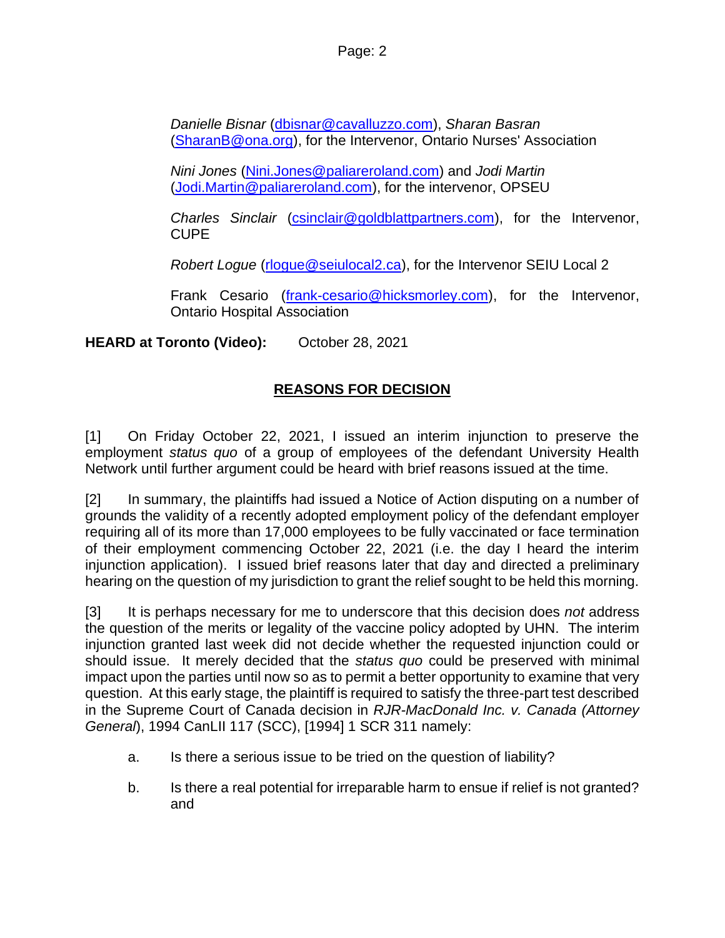Page: 2

*Danielle Bisnar* [\(dbisnar@cavalluzzo.com\)](mailto:dbisnar@cavalluzzo.com), *Sharan Basran* [\(SharanB@ona.org\)](mailto:SharanB@ona.org), for the Intervenor, Ontario Nurses' Association

*Nini Jones* [\(Nini.Jones@paliareroland.com\)](mailto:Nini.Jones@paliareroland.com) and *Jodi Martin* [\(Jodi.Martin@paliareroland.com\)](mailto:Jodi.Martin@paliareroland.com), for the intervenor, OPSEU

*Charles Sinclair* [\(csinclair@goldblattpartners.com\)](mailto:csinclair@goldblattpartners.com), for the Intervenor, CUPE

*Robert Logue* [\(rlogue@seiulocal2.ca\)](mailto:rlogue@seiulocal2.ca), for the Intervenor SEIU Local 2

Frank Cesario [\(frank-cesario@hicksmorley.com\)](mailto:frank-cesario@hicksmorley.com), for the Intervenor, Ontario Hospital Association

**HEARD at Toronto (Video):** October 28, 2021

# **REASONS FOR DECISION**

[1] On Friday October 22, 2021, I issued an interim injunction to preserve the employment *status quo* of a group of employees of the defendant University Health Network until further argument could be heard with brief reasons issued at the time.

[2] In summary, the plaintiffs had issued a Notice of Action disputing on a number of grounds the validity of a recently adopted employment policy of the defendant employer requiring all of its more than 17,000 employees to be fully vaccinated or face termination of their employment commencing October 22, 2021 (i.e. the day I heard the interim injunction application). I issued brief reasons later that day and directed a preliminary hearing on the question of my jurisdiction to grant the relief sought to be held this morning.

[3] It is perhaps necessary for me to underscore that this decision does *not* address the question of the merits or legality of the vaccine policy adopted by UHN. The interim injunction granted last week did not decide whether the requested injunction could or should issue. It merely decided that the *status quo* could be preserved with minimal impact upon the parties until now so as to permit a better opportunity to examine that very question. At this early stage, the plaintiff is required to satisfy the three-part test described in the Supreme Court of Canada decision in *RJR-MacDonald Inc. v. Canada (Attorney General*), 1994 CanLII 117 (SCC), [1994] 1 SCR 311 namely:

- a. Is there a serious issue to be tried on the question of liability?
- b. Is there a real potential for irreparable harm to ensue if relief is not granted? and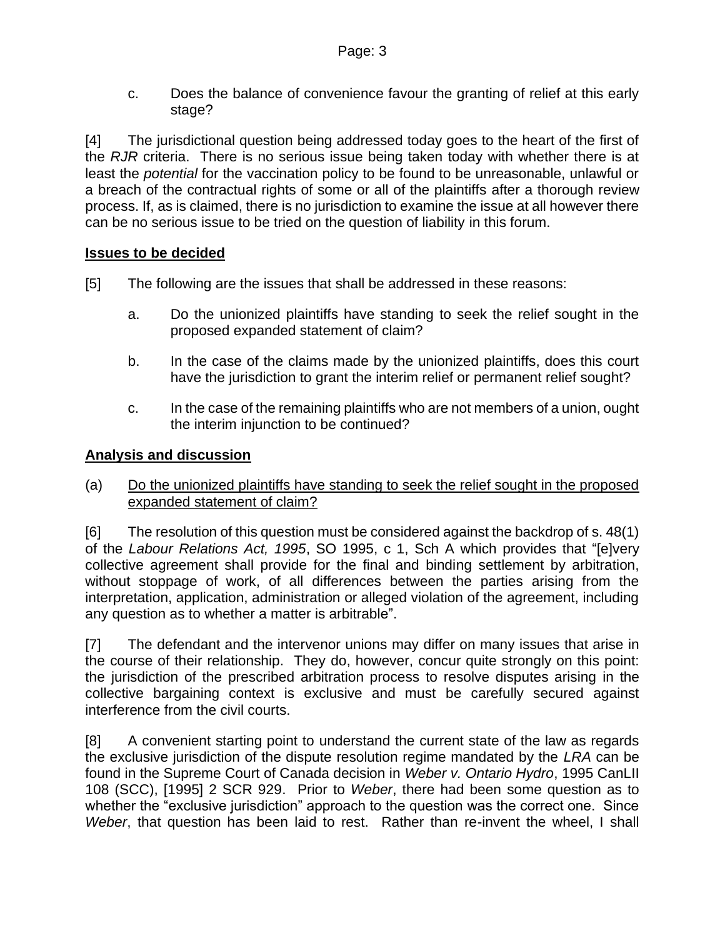c. Does the balance of convenience favour the granting of relief at this early stage?

[4] The jurisdictional question being addressed today goes to the heart of the first of the *RJR* criteria. There is no serious issue being taken today with whether there is at least the *potential* for the vaccination policy to be found to be unreasonable, unlawful or a breach of the contractual rights of some or all of the plaintiffs after a thorough review process. If, as is claimed, there is no jurisdiction to examine the issue at all however there can be no serious issue to be tried on the question of liability in this forum.

## **Issues to be decided**

- [5] The following are the issues that shall be addressed in these reasons:
	- a. Do the unionized plaintiffs have standing to seek the relief sought in the proposed expanded statement of claim?
	- b. In the case of the claims made by the unionized plaintiffs, does this court have the jurisdiction to grant the interim relief or permanent relief sought?
	- c. In the case of the remaining plaintiffs who are not members of a union, ought the interim injunction to be continued?

## **Analysis and discussion**

(a) Do the unionized plaintiffs have standing to seek the relief sought in the proposed expanded statement of claim?

[6] The resolution of this question must be considered against the backdrop of s. 48(1) of the *Labour Relations Act, 1995*, SO 1995, c 1, Sch A which provides that "[e]very collective agreement shall provide for the final and binding settlement by arbitration, without stoppage of work, of all differences between the parties arising from the interpretation, application, administration or alleged violation of the agreement, including any question as to whether a matter is arbitrable".

[7] The defendant and the intervenor unions may differ on many issues that arise in the course of their relationship. They do, however, concur quite strongly on this point: the jurisdiction of the prescribed arbitration process to resolve disputes arising in the collective bargaining context is exclusive and must be carefully secured against interference from the civil courts.

[8] A convenient starting point to understand the current state of the law as regards the exclusive jurisdiction of the dispute resolution regime mandated by the *LRA* can be found in the Supreme Court of Canada decision in *Weber v. Ontario Hydro*, 1995 CanLII 108 (SCC), [1995] 2 SCR 929. Prior to *Weber*, there had been some question as to whether the "exclusive jurisdiction" approach to the question was the correct one. Since *Weber*, that question has been laid to rest. Rather than re-invent the wheel, I shall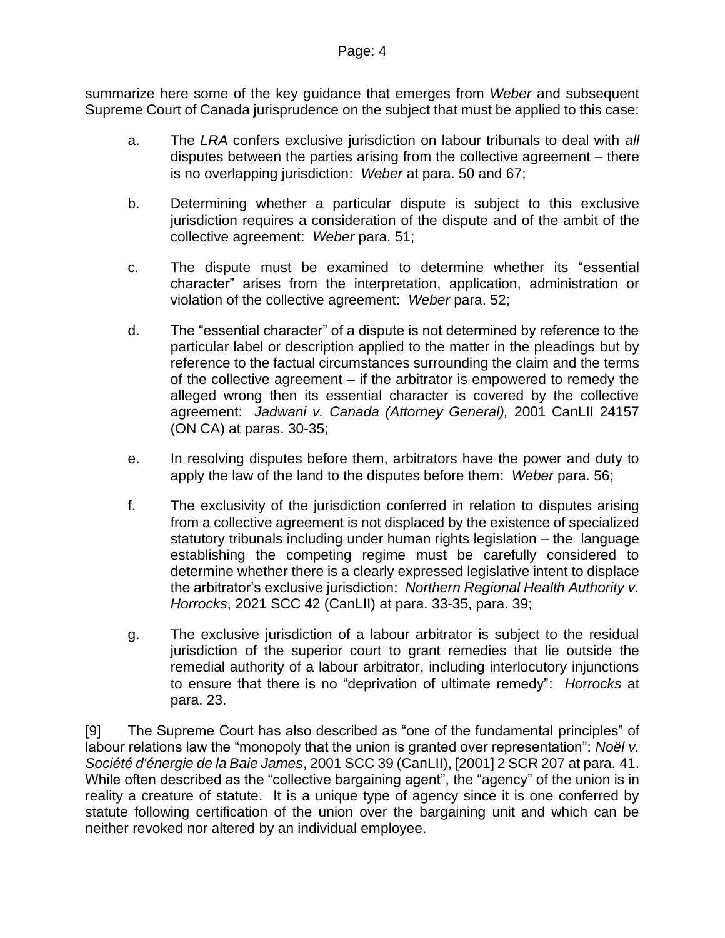summarize here some of the key guidance that emerges from *Weber* and subsequent Supreme Court of Canada jurisprudence on the subject that must be applied to this case:

- a. The *LRA* confers exclusive jurisdiction on labour tribunals to deal with *all*  disputes between the parties arising from the collective agreement – there is no overlapping jurisdiction: *Weber* at para. 50 and 67;
- b. Determining whether a particular dispute is subject to this exclusive jurisdiction requires a consideration of the dispute and of the ambit of the collective agreement: *Weber* para. 51;
- c. The dispute must be examined to determine whether its "essential character" arises from the interpretation, application, administration or violation of the collective agreement: *Weber* para. 52;
- d. The "essential character" of a dispute is not determined by reference to the particular label or description applied to the matter in the pleadings but by reference to the factual circumstances surrounding the claim and the terms of the collective agreement – if the arbitrator is empowered to remedy the alleged wrong then its essential character is covered by the collective agreement: *Jadwani v. Canada (Attorney General),* 2001 CanLII 24157 (ON CA) at paras. 30-35;
- e. In resolving disputes before them, arbitrators have the power and duty to apply the law of the land to the disputes before them: *Weber* para. 56;
- f. The exclusivity of the jurisdiction conferred in relation to disputes arising from a collective agreement is not displaced by the existence of specialized statutory tribunals including under human rights legislation – the language establishing the competing regime must be carefully considered to determine whether there is a clearly expressed legislative intent to displace the arbitrator's exclusive jurisdiction: *Northern Regional Health Authority v. Horrocks*, 2021 SCC 42 (CanLII) at para. 33-35, para. 39;
- g. The exclusive jurisdiction of a labour arbitrator is subject to the residual jurisdiction of the superior court to grant remedies that lie outside the remedial authority of a labour arbitrator, including interlocutory injunctions to ensure that there is no "deprivation of ultimate remedy": *Horrocks* at para. 23.

[9] The Supreme Court has also described as "one of the fundamental principles" of labour relations law the "monopoly that the union is granted over representation": *Noël v. Société d'énergie de la Baie James*, 2001 SCC 39 (CanLII), [2001] 2 SCR 207 at para. 41. While often described as the "collective bargaining agent", the "agency" of the union is in reality a creature of statute. It is a unique type of agency since it is one conferred by statute following certification of the union over the bargaining unit and which can be neither revoked nor altered by an individual employee.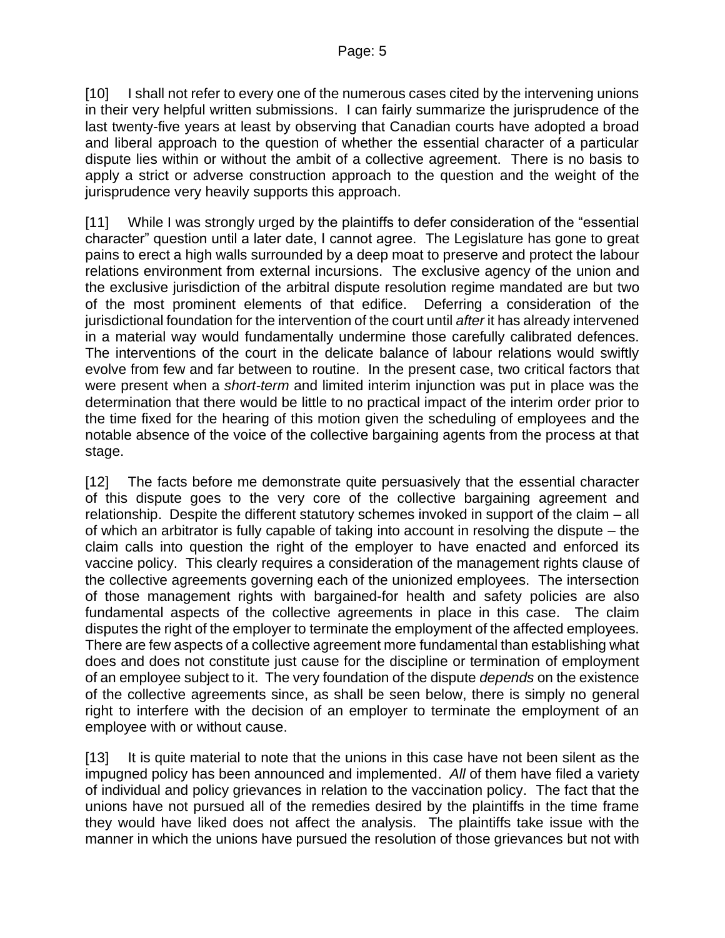[10] I shall not refer to every one of the numerous cases cited by the intervening unions in their very helpful written submissions. I can fairly summarize the jurisprudence of the last twenty-five years at least by observing that Canadian courts have adopted a broad and liberal approach to the question of whether the essential character of a particular dispute lies within or without the ambit of a collective agreement. There is no basis to apply a strict or adverse construction approach to the question and the weight of the jurisprudence very heavily supports this approach.

[11] While I was strongly urged by the plaintiffs to defer consideration of the "essential character" question until a later date, I cannot agree. The Legislature has gone to great pains to erect a high walls surrounded by a deep moat to preserve and protect the labour relations environment from external incursions. The exclusive agency of the union and the exclusive jurisdiction of the arbitral dispute resolution regime mandated are but two of the most prominent elements of that edifice. Deferring a consideration of the jurisdictional foundation for the intervention of the court until *after* it has already intervened in a material way would fundamentally undermine those carefully calibrated defences. The interventions of the court in the delicate balance of labour relations would swiftly evolve from few and far between to routine. In the present case, two critical factors that were present when a *short-term* and limited interim injunction was put in place was the determination that there would be little to no practical impact of the interim order prior to the time fixed for the hearing of this motion given the scheduling of employees and the notable absence of the voice of the collective bargaining agents from the process at that stage.

[12] The facts before me demonstrate quite persuasively that the essential character of this dispute goes to the very core of the collective bargaining agreement and relationship. Despite the different statutory schemes invoked in support of the claim – all of which an arbitrator is fully capable of taking into account in resolving the dispute – the claim calls into question the right of the employer to have enacted and enforced its vaccine policy. This clearly requires a consideration of the management rights clause of the collective agreements governing each of the unionized employees. The intersection of those management rights with bargained-for health and safety policies are also fundamental aspects of the collective agreements in place in this case. The claim disputes the right of the employer to terminate the employment of the affected employees. There are few aspects of a collective agreement more fundamental than establishing what does and does not constitute just cause for the discipline or termination of employment of an employee subject to it. The very foundation of the dispute *depends* on the existence of the collective agreements since, as shall be seen below, there is simply no general right to interfere with the decision of an employer to terminate the employment of an employee with or without cause.

[13] It is quite material to note that the unions in this case have not been silent as the impugned policy has been announced and implemented. *All* of them have filed a variety of individual and policy grievances in relation to the vaccination policy. The fact that the unions have not pursued all of the remedies desired by the plaintiffs in the time frame they would have liked does not affect the analysis. The plaintiffs take issue with the manner in which the unions have pursued the resolution of those grievances but not with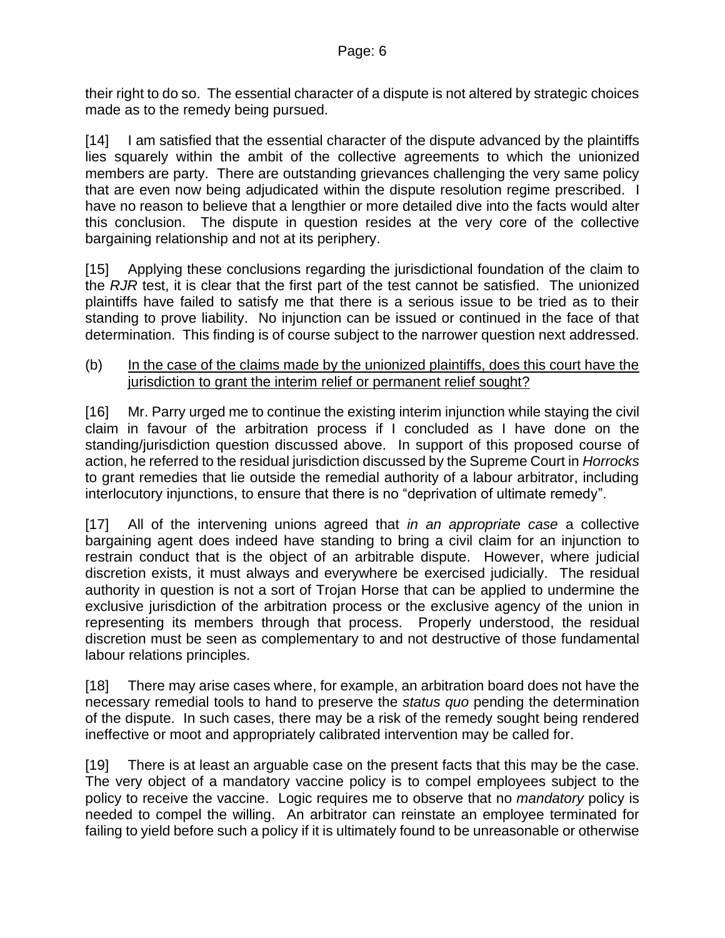their right to do so. The essential character of a dispute is not altered by strategic choices made as to the remedy being pursued.

[14] I am satisfied that the essential character of the dispute advanced by the plaintiffs lies squarely within the ambit of the collective agreements to which the unionized members are party. There are outstanding grievances challenging the very same policy that are even now being adjudicated within the dispute resolution regime prescribed. I have no reason to believe that a lengthier or more detailed dive into the facts would alter this conclusion. The dispute in question resides at the very core of the collective bargaining relationship and not at its periphery.

[15] Applying these conclusions regarding the jurisdictional foundation of the claim to the *RJR* test, it is clear that the first part of the test cannot be satisfied. The unionized plaintiffs have failed to satisfy me that there is a serious issue to be tried as to their standing to prove liability. No injunction can be issued or continued in the face of that determination. This finding is of course subject to the narrower question next addressed.

## (b) In the case of the claims made by the unionized plaintiffs, does this court have the jurisdiction to grant the interim relief or permanent relief sought?

[16] Mr. Parry urged me to continue the existing interim injunction while staying the civil claim in favour of the arbitration process if I concluded as I have done on the standing/jurisdiction question discussed above. In support of this proposed course of action, he referred to the residual jurisdiction discussed by the Supreme Court in *Horrocks* to grant remedies that lie outside the remedial authority of a labour arbitrator, including interlocutory injunctions, to ensure that there is no "deprivation of ultimate remedy".

[17] All of the intervening unions agreed that *in an appropriate case* a collective bargaining agent does indeed have standing to bring a civil claim for an injunction to restrain conduct that is the object of an arbitrable dispute. However, where judicial discretion exists, it must always and everywhere be exercised judicially. The residual authority in question is not a sort of Trojan Horse that can be applied to undermine the exclusive jurisdiction of the arbitration process or the exclusive agency of the union in representing its members through that process. Properly understood, the residual discretion must be seen as complementary to and not destructive of those fundamental labour relations principles.

[18] There may arise cases where, for example, an arbitration board does not have the necessary remedial tools to hand to preserve the *status quo* pending the determination of the dispute. In such cases, there may be a risk of the remedy sought being rendered ineffective or moot and appropriately calibrated intervention may be called for.

[19] There is at least an arguable case on the present facts that this may be the case. The very object of a mandatory vaccine policy is to compel employees subject to the policy to receive the vaccine. Logic requires me to observe that no *mandatory* policy is needed to compel the willing. An arbitrator can reinstate an employee terminated for failing to yield before such a policy if it is ultimately found to be unreasonable or otherwise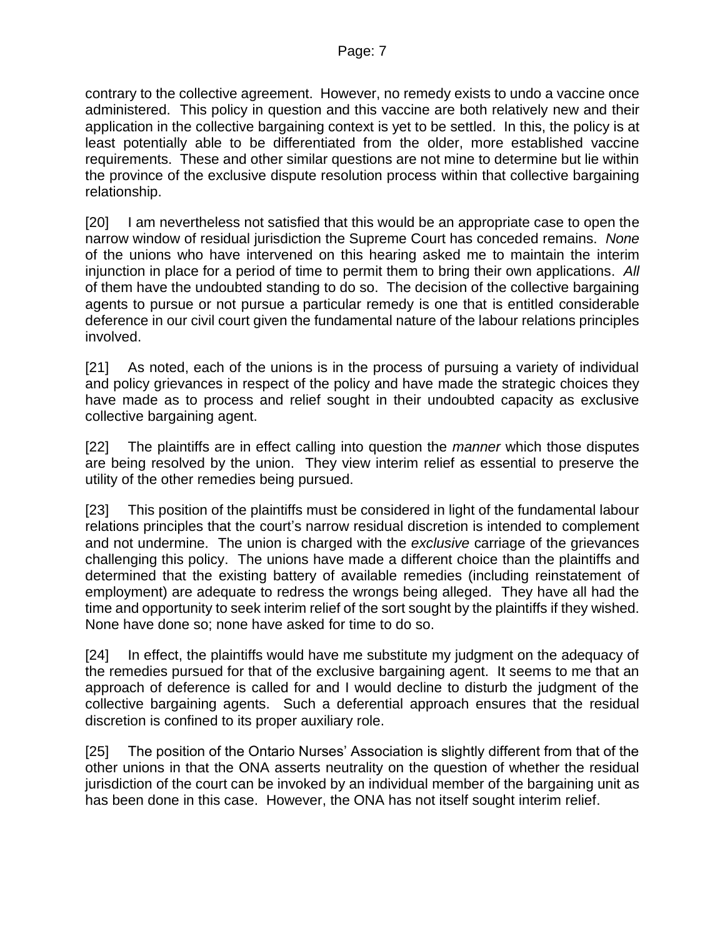contrary to the collective agreement. However, no remedy exists to undo a vaccine once administered. This policy in question and this vaccine are both relatively new and their application in the collective bargaining context is yet to be settled. In this, the policy is at least potentially able to be differentiated from the older, more established vaccine requirements. These and other similar questions are not mine to determine but lie within the province of the exclusive dispute resolution process within that collective bargaining relationship.

[20] I am nevertheless not satisfied that this would be an appropriate case to open the narrow window of residual jurisdiction the Supreme Court has conceded remains. *None* of the unions who have intervened on this hearing asked me to maintain the interim injunction in place for a period of time to permit them to bring their own applications. *All*  of them have the undoubted standing to do so. The decision of the collective bargaining agents to pursue or not pursue a particular remedy is one that is entitled considerable deference in our civil court given the fundamental nature of the labour relations principles involved.

[21] As noted, each of the unions is in the process of pursuing a variety of individual and policy grievances in respect of the policy and have made the strategic choices they have made as to process and relief sought in their undoubted capacity as exclusive collective bargaining agent.

[22] The plaintiffs are in effect calling into question the *manner* which those disputes are being resolved by the union. They view interim relief as essential to preserve the utility of the other remedies being pursued.

[23] This position of the plaintiffs must be considered in light of the fundamental labour relations principles that the court's narrow residual discretion is intended to complement and not undermine. The union is charged with the *exclusive* carriage of the grievances challenging this policy. The unions have made a different choice than the plaintiffs and determined that the existing battery of available remedies (including reinstatement of employment) are adequate to redress the wrongs being alleged. They have all had the time and opportunity to seek interim relief of the sort sought by the plaintiffs if they wished. None have done so; none have asked for time to do so.

[24] In effect, the plaintiffs would have me substitute my judgment on the adequacy of the remedies pursued for that of the exclusive bargaining agent. It seems to me that an approach of deference is called for and I would decline to disturb the judgment of the collective bargaining agents. Such a deferential approach ensures that the residual discretion is confined to its proper auxiliary role.

[25] The position of the Ontario Nurses' Association is slightly different from that of the other unions in that the ONA asserts neutrality on the question of whether the residual jurisdiction of the court can be invoked by an individual member of the bargaining unit as has been done in this case. However, the ONA has not itself sought interim relief.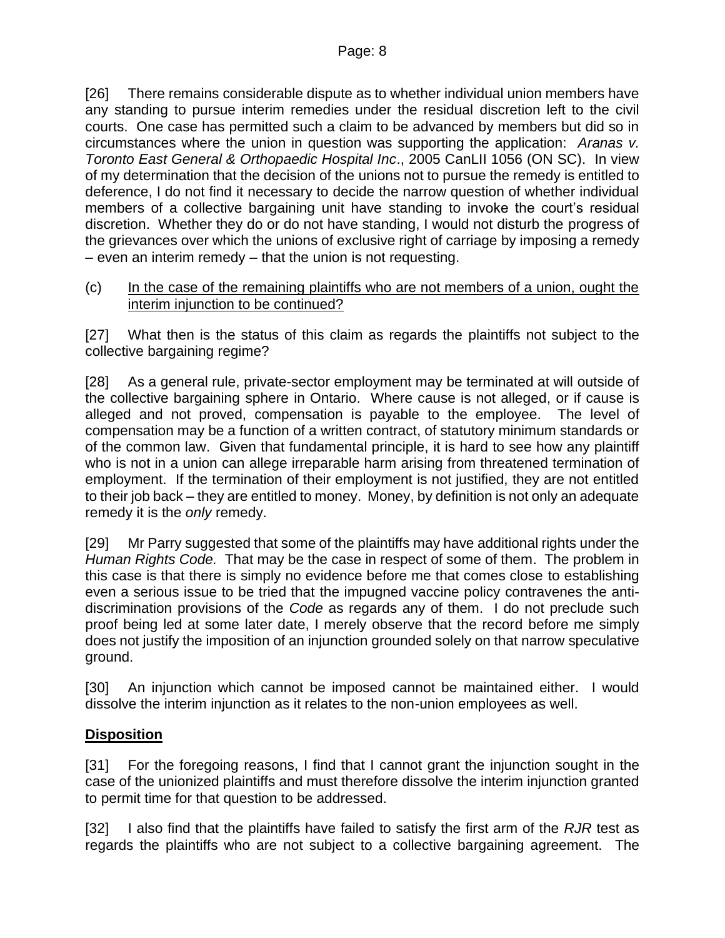[26] There remains considerable dispute as to whether individual union members have any standing to pursue interim remedies under the residual discretion left to the civil courts. One case has permitted such a claim to be advanced by members but did so in circumstances where the union in question was supporting the application: *Aranas v. Toronto East General & Orthopaedic Hospital Inc*., 2005 CanLII 1056 (ON SC). In view of my determination that the decision of the unions not to pursue the remedy is entitled to deference, I do not find it necessary to decide the narrow question of whether individual members of a collective bargaining unit have standing to invoke the court's residual discretion. Whether they do or do not have standing, I would not disturb the progress of the grievances over which the unions of exclusive right of carriage by imposing a remedy – even an interim remedy – that the union is not requesting.

(c) In the case of the remaining plaintiffs who are not members of a union, ought the interim injunction to be continued?

[27] What then is the status of this claim as regards the plaintiffs not subject to the collective bargaining regime?

[28] As a general rule, private-sector employment may be terminated at will outside of the collective bargaining sphere in Ontario. Where cause is not alleged, or if cause is alleged and not proved, compensation is payable to the employee. The level of compensation may be a function of a written contract, of statutory minimum standards or of the common law. Given that fundamental principle, it is hard to see how any plaintiff who is not in a union can allege irreparable harm arising from threatened termination of employment. If the termination of their employment is not justified, they are not entitled to their job back – they are entitled to money. Money, by definition is not only an adequate remedy it is the *only* remedy.

[29] Mr Parry suggested that some of the plaintiffs may have additional rights under the *Human Rights Code.* That may be the case in respect of some of them. The problem in this case is that there is simply no evidence before me that comes close to establishing even a serious issue to be tried that the impugned vaccine policy contravenes the antidiscrimination provisions of the *Code* as regards any of them. I do not preclude such proof being led at some later date, I merely observe that the record before me simply does not justify the imposition of an injunction grounded solely on that narrow speculative ground.

[30] An injunction which cannot be imposed cannot be maintained either. I would dissolve the interim injunction as it relates to the non-union employees as well.

## **Disposition**

[31] For the foregoing reasons, I find that I cannot grant the injunction sought in the case of the unionized plaintiffs and must therefore dissolve the interim injunction granted to permit time for that question to be addressed.

[32] I also find that the plaintiffs have failed to satisfy the first arm of the *RJR* test as regards the plaintiffs who are not subject to a collective bargaining agreement. The